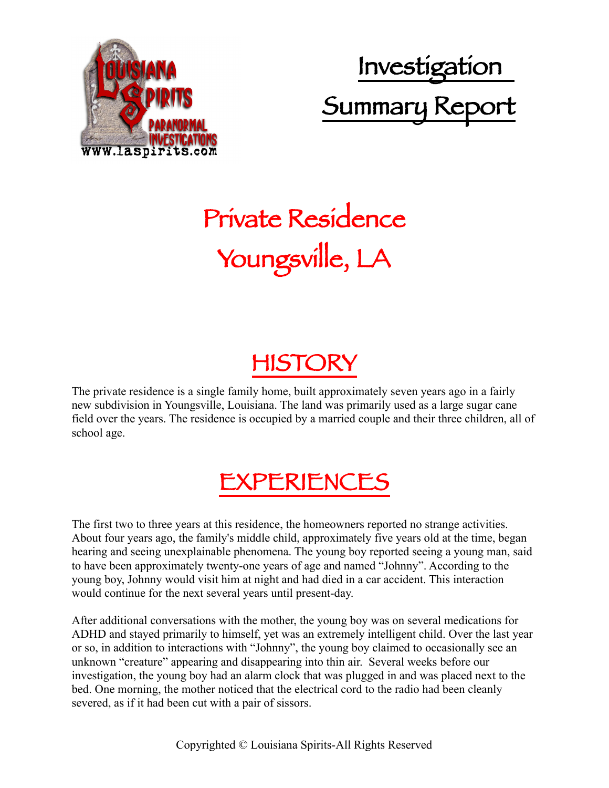

 Investigation Summary Report

# Private Residence Youngsville, LA

## HISTORY

The private residence is a single family home, built approximately seven years ago in a fairly new subdivision in Youngsville, Louisiana. The land was primarily used as a large sugar cane field over the years. The residence is occupied by a married couple and their three children, all of school age.

## EXPERIENCES

The first two to three years at this residence, the homeowners reported no strange activities. About four years ago, the family's middle child, approximately five years old at the time, began hearing and seeing unexplainable phenomena. The young boy reported seeing a young man, said to have been approximately twenty-one years of age and named "Johnny". According to the young boy, Johnny would visit him at night and had died in a car accident. This interaction would continue for the next several years until present-day.

After additional conversations with the mother, the young boy was on several medications for ADHD and stayed primarily to himself, yet was an extremely intelligent child. Over the last year or so, in addition to interactions with "Johnny", the young boy claimed to occasionally see an unknown "creature" appearing and disappearing into thin air. Several weeks before our investigation, the young boy had an alarm clock that was plugged in and was placed next to the bed. One morning, the mother noticed that the electrical cord to the radio had been cleanly severed, as if it had been cut with a pair of sissors.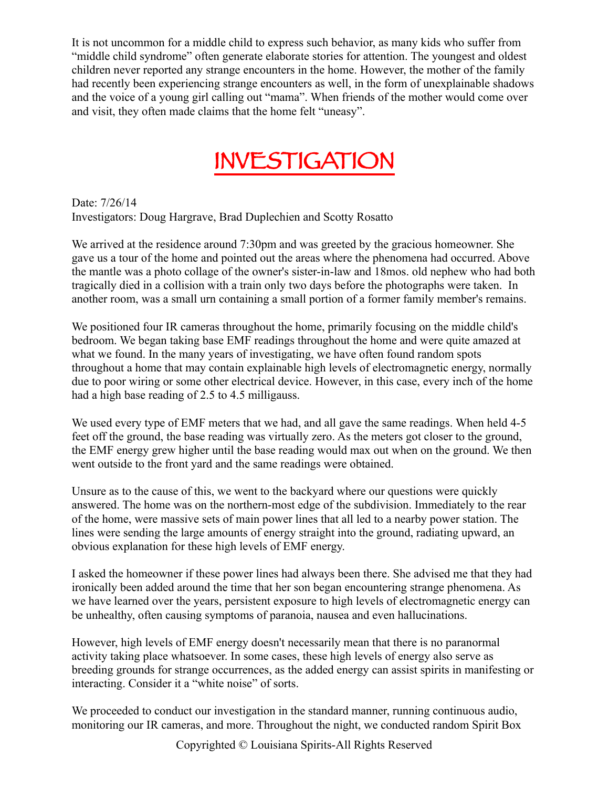It is not uncommon for a middle child to express such behavior, as many kids who suffer from "middle child syndrome" often generate elaborate stories for attention. The youngest and oldest children never reported any strange encounters in the home. However, the mother of the family had recently been experiencing strange encounters as well, in the form of unexplainable shadows and the voice of a young girl calling out "mama". When friends of the mother would come over and visit, they often made claims that the home felt "uneasy".

## INVESTIGATION

Date: 7/26/14 Investigators: Doug Hargrave, Brad Duplechien and Scotty Rosatto

We arrived at the residence around 7:30pm and was greeted by the gracious homeowner. She gave us a tour of the home and pointed out the areas where the phenomena had occurred. Above the mantle was a photo collage of the owner's sister-in-law and 18mos. old nephew who had both tragically died in a collision with a train only two days before the photographs were taken. In another room, was a small urn containing a small portion of a former family member's remains.

We positioned four IR cameras throughout the home, primarily focusing on the middle child's bedroom. We began taking base EMF readings throughout the home and were quite amazed at what we found. In the many years of investigating, we have often found random spots throughout a home that may contain explainable high levels of electromagnetic energy, normally due to poor wiring or some other electrical device. However, in this case, every inch of the home had a high base reading of 2.5 to 4.5 milligauss.

We used every type of EMF meters that we had, and all gave the same readings. When held 4-5 feet off the ground, the base reading was virtually zero. As the meters got closer to the ground, the EMF energy grew higher until the base reading would max out when on the ground. We then went outside to the front yard and the same readings were obtained.

Unsure as to the cause of this, we went to the backyard where our questions were quickly answered. The home was on the northern-most edge of the subdivision. Immediately to the rear of the home, were massive sets of main power lines that all led to a nearby power station. The lines were sending the large amounts of energy straight into the ground, radiating upward, an obvious explanation for these high levels of EMF energy.

I asked the homeowner if these power lines had always been there. She advised me that they had ironically been added around the time that her son began encountering strange phenomena. As we have learned over the years, persistent exposure to high levels of electromagnetic energy can be unhealthy, often causing symptoms of paranoia, nausea and even hallucinations.

However, high levels of EMF energy doesn't necessarily mean that there is no paranormal activity taking place whatsoever. In some cases, these high levels of energy also serve as breeding grounds for strange occurrences, as the added energy can assist spirits in manifesting or interacting. Consider it a "white noise" of sorts.

We proceeded to conduct our investigation in the standard manner, running continuous audio, monitoring our IR cameras, and more. Throughout the night, we conducted random Spirit Box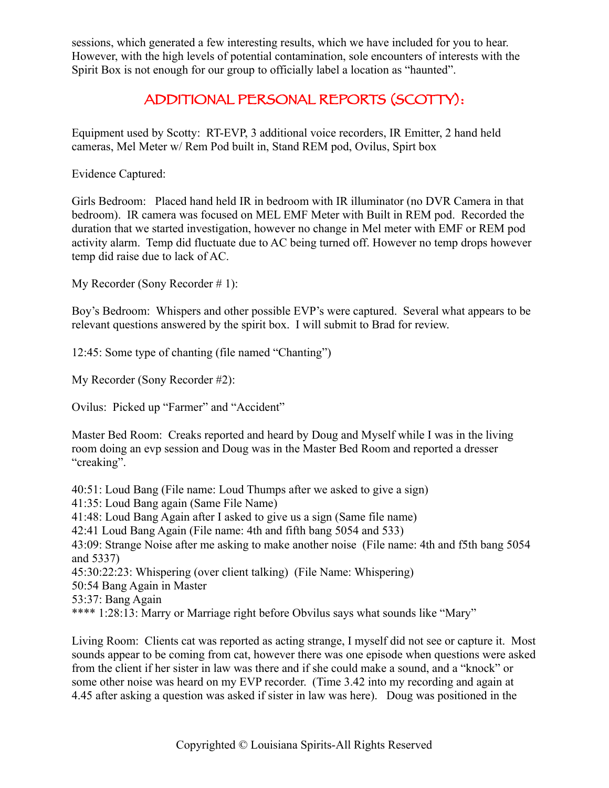sessions, which generated a few interesting results, which we have included for you to hear. However, with the high levels of potential contamination, sole encounters of interests with the Spirit Box is not enough for our group to officially label a location as "haunted".

#### ADDITIONAL PERSONAL REPORTS (SCOTTY):

Equipment used by Scotty: RT-EVP, 3 additional voice recorders, IR Emitter, 2 hand held cameras, Mel Meter w/ Rem Pod built in, Stand REM pod, Ovilus, Spirt box

Evidence Captured:

Girls Bedroom: Placed hand held IR in bedroom with IR illuminator (no DVR Camera in that bedroom). IR camera was focused on MEL EMF Meter with Built in REM pod. Recorded the duration that we started investigation, however no change in Mel meter with EMF or REM pod activity alarm. Temp did fluctuate due to AC being turned off. However no temp drops however temp did raise due to lack of AC.

My Recorder (Sony Recorder # 1):

Boy's Bedroom: Whispers and other possible EVP's were captured. Several what appears to be relevant questions answered by the spirit box. I will submit to Brad for review.

12:45: Some type of chanting (file named "Chanting")

My Recorder (Sony Recorder #2):

Ovilus: Picked up "Farmer" and "Accident"

Master Bed Room: Creaks reported and heard by Doug and Myself while I was in the living room doing an evp session and Doug was in the Master Bed Room and reported a dresser "creaking".

40:51: Loud Bang (File name: Loud Thumps after we asked to give a sign)

41:35: Loud Bang again (Same File Name)

41:48: Loud Bang Again after I asked to give us a sign (Same file name)

42:41 Loud Bang Again (File name: 4th and fifth bang 5054 and 533)

43:09: Strange Noise after me asking to make another noise (File name: 4th and f5th bang 5054 and 5337)

45:30:22:23: Whispering (over client talking) (File Name: Whispering)

50:54 Bang Again in Master

53:37: Bang Again

\*\*\*\* 1:28:13: Marry or Marriage right before Obvilus says what sounds like "Mary"

Living Room: Clients cat was reported as acting strange, I myself did not see or capture it. Most sounds appear to be coming from cat, however there was one episode when questions were asked from the client if her sister in law was there and if she could make a sound, and a "knock" or some other noise was heard on my EVP recorder. (Time 3.42 into my recording and again at 4.45 after asking a question was asked if sister in law was here). Doug was positioned in the